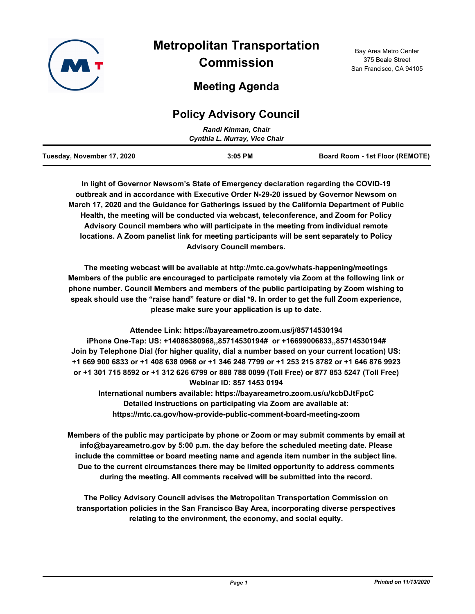

# **Metropolitan Transportation Commission**

# **Meeting Agenda**

## **Policy Advisory Council**

| Randi Kinman, Chair        |                               |                                 |  |
|----------------------------|-------------------------------|---------------------------------|--|
|                            | Cynthia L. Murray, Vice Chair |                                 |  |
| Tuesday, November 17, 2020 | $3:05$ PM                     | Board Room - 1st Floor (REMOTE) |  |

**In light of Governor Newsom's State of Emergency declaration regarding the COVID-19 outbreak and in accordance with Executive Order N-29-20 issued by Governor Newsom on March 17, 2020 and the Guidance for Gatherings issued by the California Department of Public Health, the meeting will be conducted via webcast, teleconference, and Zoom for Policy Advisory Council members who will participate in the meeting from individual remote locations. A Zoom panelist link for meeting participants will be sent separately to Policy Advisory Council members.**

**The meeting webcast will be available at http://mtc.ca.gov/whats-happening/meetings Members of the public are encouraged to participate remotely via Zoom at the following link or phone number. Council Members and members of the public participating by Zoom wishing to speak should use the "raise hand" feature or dial \*9. In order to get the full Zoom experience, please make sure your application is up to date.**

**Attendee Link: https://bayareametro.zoom.us/j/85714530194 iPhone One-Tap: US: +14086380968,,85714530194# or +16699006833,,85714530194# Join by Telephone Dial (for higher quality, dial a number based on your current location) US: +1 669 900 6833 or +1 408 638 0968 or +1 346 248 7799 or +1 253 215 8782 or +1 646 876 9923 or +1 301 715 8592 or +1 312 626 6799 or 888 788 0099 (Toll Free) or 877 853 5247 (Toll Free) Webinar ID: 857 1453 0194**

**International numbers available: https://bayareametro.zoom.us/u/kcbDJtFpcC Detailed instructions on participating via Zoom are available at: https://mtc.ca.gov/how-provide-public-comment-board-meeting-zoom**

**Members of the public may participate by phone or Zoom or may submit comments by email at info@bayareametro.gov by 5:00 p.m. the day before the scheduled meeting date. Please include the committee or board meeting name and agenda item number in the subject line. Due to the current circumstances there may be limited opportunity to address comments during the meeting. All comments received will be submitted into the record.**

**The Policy Advisory Council advises the Metropolitan Transportation Commission on transportation policies in the San Francisco Bay Area, incorporating diverse perspectives relating to the environment, the economy, and social equity.**

Bay Area Metro Center 375 Beale Street San Francisco, CA 94105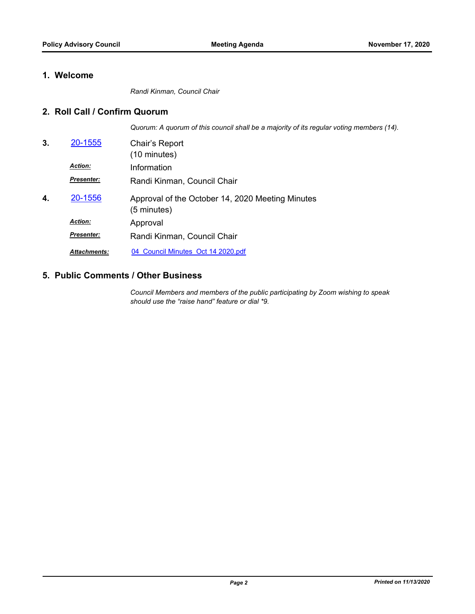### **1. Welcome**

*Randi Kinman, Council Chair*

#### **2. Roll Call / Confirm Quorum**

*Quorum: A quorum of this council shall be a majority of its regular voting members (14).*

| 3. | 20-1555             | Chair's Report<br>(10 minutes)                                  |
|----|---------------------|-----------------------------------------------------------------|
|    | <b>Action:</b>      | Information                                                     |
|    | Presenter:          | Randi Kinman, Council Chair                                     |
| 4. | 20-1556             | Approval of the October 14, 2020 Meeting Minutes<br>(5 minutes) |
|    | <b>Action:</b>      | Approval                                                        |
|    | Presenter:          | Randi Kinman, Council Chair                                     |
|    | <b>Attachments:</b> | 04 Council Minutes Oct 14 2020.pdf                              |

#### **5. Public Comments / Other Business**

*Council Members and members of the public participating by Zoom wishing to speak should use the "raise hand" feature or dial \*9.*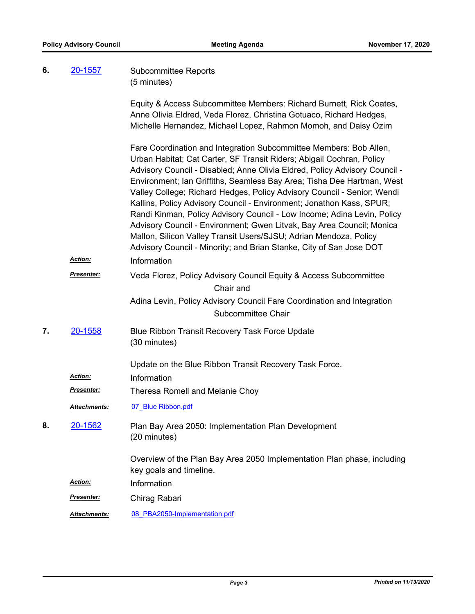| 6. | 20-1557           | <b>Subcommittee Reports</b><br>(5 minutes)                                                                                                                                                                                                                                                                                                                                                                                                                                                                                                                                                                                                                                                                                                                            |
|----|-------------------|-----------------------------------------------------------------------------------------------------------------------------------------------------------------------------------------------------------------------------------------------------------------------------------------------------------------------------------------------------------------------------------------------------------------------------------------------------------------------------------------------------------------------------------------------------------------------------------------------------------------------------------------------------------------------------------------------------------------------------------------------------------------------|
|    |                   | Equity & Access Subcommittee Members: Richard Burnett, Rick Coates,<br>Anne Olivia Eldred, Veda Florez, Christina Gotuaco, Richard Hedges,<br>Michelle Hernandez, Michael Lopez, Rahmon Momoh, and Daisy Ozim                                                                                                                                                                                                                                                                                                                                                                                                                                                                                                                                                         |
|    | <b>Action:</b>    | Fare Coordination and Integration Subcommittee Members: Bob Allen,<br>Urban Habitat; Cat Carter, SF Transit Riders; Abigail Cochran, Policy<br>Advisory Council - Disabled; Anne Olivia Eldred, Policy Advisory Council -<br>Environment; Ian Griffiths, Seamless Bay Area; Tisha Dee Hartman, West<br>Valley College; Richard Hedges, Policy Advisory Council - Senior; Wendi<br>Kallins, Policy Advisory Council - Environment; Jonathon Kass, SPUR;<br>Randi Kinman, Policy Advisory Council - Low Income; Adina Levin, Policy<br>Advisory Council - Environment; Gwen Litvak, Bay Area Council; Monica<br>Mallon, Silicon Valley Transit Users/SJSU; Adrian Mendoza, Policy<br>Advisory Council - Minority; and Brian Stanke, City of San Jose DOT<br>Information |
|    | <b>Presenter:</b> |                                                                                                                                                                                                                                                                                                                                                                                                                                                                                                                                                                                                                                                                                                                                                                       |
|    |                   | Veda Florez, Policy Advisory Council Equity & Access Subcommittee<br>Chair and                                                                                                                                                                                                                                                                                                                                                                                                                                                                                                                                                                                                                                                                                        |
|    |                   | Adina Levin, Policy Advisory Council Fare Coordination and Integration<br>Subcommittee Chair                                                                                                                                                                                                                                                                                                                                                                                                                                                                                                                                                                                                                                                                          |
| 7. | 20-1558           | Blue Ribbon Transit Recovery Task Force Update<br>(30 minutes)                                                                                                                                                                                                                                                                                                                                                                                                                                                                                                                                                                                                                                                                                                        |
|    | Action:           | Update on the Blue Ribbon Transit Recovery Task Force.<br>Information                                                                                                                                                                                                                                                                                                                                                                                                                                                                                                                                                                                                                                                                                                 |
|    | <b>Presenter:</b> | Theresa Romell and Melanie Choy                                                                                                                                                                                                                                                                                                                                                                                                                                                                                                                                                                                                                                                                                                                                       |
|    | Attachments:      | 07 Blue Ribbon.pdf                                                                                                                                                                                                                                                                                                                                                                                                                                                                                                                                                                                                                                                                                                                                                    |
| 8. | 20-1562           | Plan Bay Area 2050: Implementation Plan Development<br>(20 minutes)                                                                                                                                                                                                                                                                                                                                                                                                                                                                                                                                                                                                                                                                                                   |
|    |                   | Overview of the Plan Bay Area 2050 Implementation Plan phase, including<br>key goals and timeline.                                                                                                                                                                                                                                                                                                                                                                                                                                                                                                                                                                                                                                                                    |
|    | Action:           | Information                                                                                                                                                                                                                                                                                                                                                                                                                                                                                                                                                                                                                                                                                                                                                           |
|    | Presenter:        | Chirag Rabari                                                                                                                                                                                                                                                                                                                                                                                                                                                                                                                                                                                                                                                                                                                                                         |
|    | Attachments:      | 08 PBA2050-Implementation.pdf                                                                                                                                                                                                                                                                                                                                                                                                                                                                                                                                                                                                                                                                                                                                         |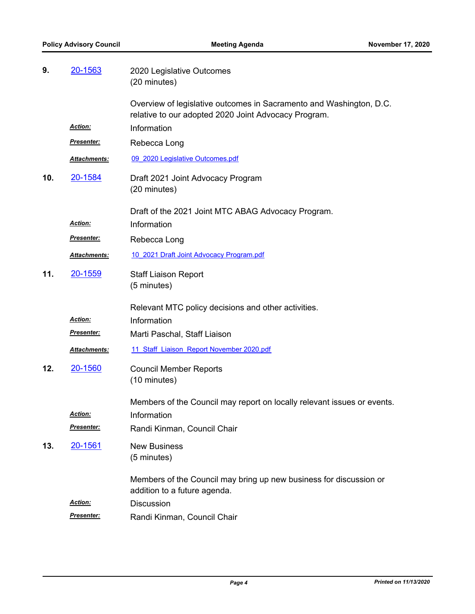| 9.  | 20-1563           | 2020 Legislative Outcomes<br>(20 minutes)                                                                                   |
|-----|-------------------|-----------------------------------------------------------------------------------------------------------------------------|
|     |                   | Overview of legislative outcomes in Sacramento and Washington, D.C.<br>relative to our adopted 2020 Joint Advocacy Program. |
|     | Action:           | Information                                                                                                                 |
|     | <u>Presenter:</u> | Rebecca Long                                                                                                                |
|     | Attachments:      | 09 2020 Legislative Outcomes.pdf                                                                                            |
| 10. | 20-1584           | Draft 2021 Joint Advocacy Program<br>(20 minutes)                                                                           |
|     | <u>Action:</u>    | Draft of the 2021 Joint MTC ABAG Advocacy Program.<br>Information                                                           |
|     | <u>Presenter:</u> | Rebecca Long                                                                                                                |
|     | Attachments:      | 10 2021 Draft Joint Advocacy Program.pdf                                                                                    |
| 11. | 20-1559           | <b>Staff Liaison Report</b><br>(5 minutes)                                                                                  |
|     |                   | Relevant MTC policy decisions and other activities.                                                                         |
|     | Action:           | Information                                                                                                                 |
|     | <u>Presenter:</u> | Marti Paschal, Staff Liaison                                                                                                |
|     | Attachments:      | 11 Staff Liaison Report November 2020.pdf                                                                                   |
| 12. | 20-1560           | <b>Council Member Reports</b><br>(10 minutes)                                                                               |
|     | Action:           | Members of the Council may report on locally relevant issues or events.<br>Information                                      |
|     | <u>Presenter:</u> | Randi Kinman, Council Chair                                                                                                 |
| 13. | 20-1561           | <b>New Business</b><br>(5 minutes)                                                                                          |
|     |                   | Members of the Council may bring up new business for discussion or<br>addition to a future agenda.                          |
|     | Action:           | <b>Discussion</b>                                                                                                           |
|     | Presenter:        | Randi Kinman, Council Chair                                                                                                 |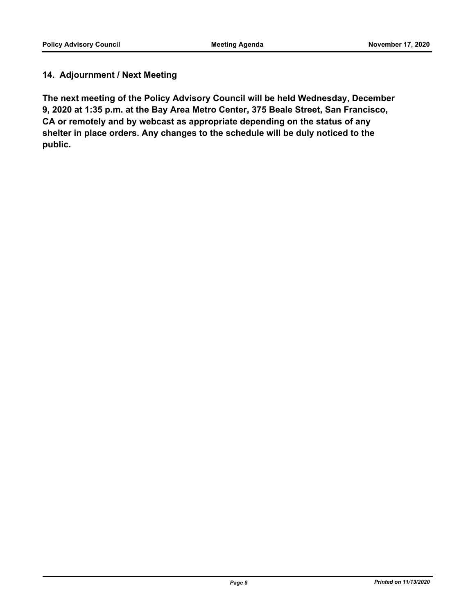### **14. Adjournment / Next Meeting**

**The next meeting of the Policy Advisory Council will be held Wednesday, December 9, 2020 at 1:35 p.m. at the Bay Area Metro Center, 375 Beale Street, San Francisco, CA or remotely and by webcast as appropriate depending on the status of any shelter in place orders. Any changes to the schedule will be duly noticed to the public.**